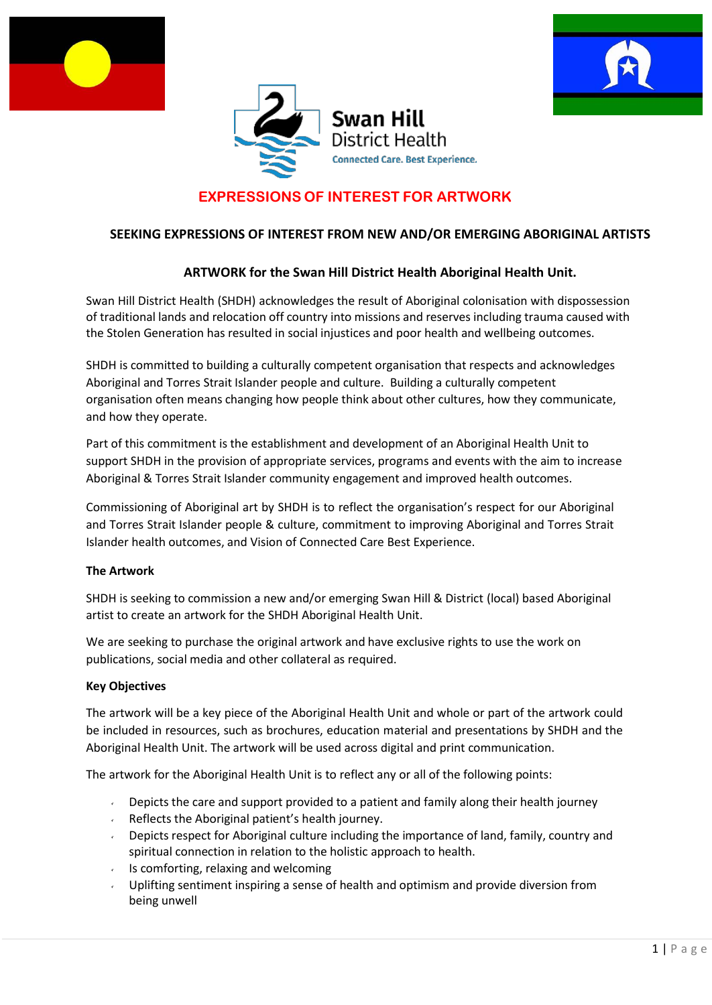





# **EXPRESSIONS OF INTEREST FOR ARTWORK**

# **SEEKING EXPRESSIONS OF INTEREST FROM NEW AND/OR EMERGING ABORIGINAL ARTISTS**

# **ARTWORK for the Swan Hill District Health Aboriginal Health Unit.**

Swan Hill District Health (SHDH) acknowledges the result of Aboriginal colonisation with dispossession of traditional lands and relocation off country into missions and reserves including trauma caused with the Stolen Generation has resulted in social injustices and poor health and wellbeing outcomes.

SHDH is committed to building a culturally competent organisation that respects and acknowledges Aboriginal and Torres Strait Islander people and culture. Building a culturally competent organisation often means changing how people think about other cultures, how they communicate, and how they operate.

Part of this commitment is the establishment and development of an Aboriginal Health Unit to support SHDH in the provision of appropriate services, programs and events with the aim to increase Aboriginal & Torres Strait Islander community engagement and improved health outcomes.

Commissioning of Aboriginal art by SHDH is to reflect the organisation's respect for our Aboriginal and Torres Strait Islander people & culture, commitment to improving Aboriginal and Torres Strait Islander health outcomes, and Vision of Connected Care Best Experience.

#### **The Artwork**

SHDH is seeking to commission a new and/or emerging Swan Hill & District (local) based Aboriginal artist to create an artwork for the SHDH Aboriginal Health Unit.

We are seeking to purchase the original artwork and have exclusive rights to use the work on publications, social media and other collateral as required.

#### **Key Objectives**

The artwork will be a key piece of the Aboriginal Health Unit and whole or part of the artwork could be included in resources, such as brochures, education material and presentations by SHDH and the Aboriginal Health Unit. The artwork will be used across digital and print communication.

The artwork for the Aboriginal Health Unit is to reflect any or all of the following points:

- Depicts the care and support provided to a patient and family along their health journey
- Reflects the Aboriginal patient's health journey.  $\mathbf{v} = \mathbf{v}$
- Depicts respect for Aboriginal culture including the importance of land, family, country and  $\mathbf{v}^{(i)}$ spiritual connection in relation to the holistic approach to health.
- Is comforting, relaxing and welcoming  $\mathbf{v}^{(i)}$
- Uplifting sentiment inspiring a sense of health and optimism and provide diversion from being unwell